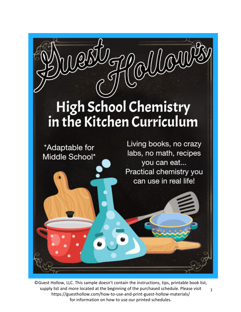

1 ©Guest Hollow, LLC. This sample doesn't contain the instructions, tips, printable book list, supply list and more located at the beginning of the purchased schedule. Please visit https://guesthollow.com/how-to-use-and-print-guest-hollow-materials/ for information on how to use our printed schedules.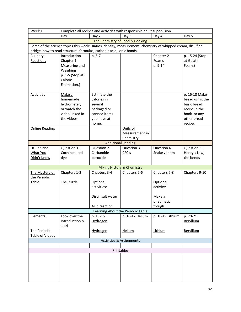| Week 1                                 | Complete all recipes and activities with responsible adult supervision.                                                                                                          |                    |                                 |                  |                 |  |
|----------------------------------------|----------------------------------------------------------------------------------------------------------------------------------------------------------------------------------|--------------------|---------------------------------|------------------|-----------------|--|
|                                        | Day 1                                                                                                                                                                            | Day 2              | Day 3                           | Day 4            | Day 5           |  |
|                                        |                                                                                                                                                                                  |                    | The Chemistry of Food & Cooking |                  |                 |  |
|                                        | Some of the science topics this week: Ratios, density, measurement, chemistry of whipped cream, disulfide<br>bridge, how to read structural formulas, carbonic acid, ionic bonds |                    |                                 |                  |                 |  |
| Culinary                               | Introduction                                                                                                                                                                     | p. 5-7             |                                 | Chapter 2        | p. 15-24 (Stop  |  |
| Reactions                              | Chapter 1                                                                                                                                                                        |                    |                                 | Foams            | at Gelatin      |  |
|                                        | Measuring and                                                                                                                                                                    |                    |                                 | p. 9-14          | Foam.)          |  |
|                                        | Weighing                                                                                                                                                                         |                    |                                 |                  |                 |  |
|                                        | p. 1-5 (Stop at                                                                                                                                                                  |                    |                                 |                  |                 |  |
|                                        | Calorie                                                                                                                                                                          |                    |                                 |                  |                 |  |
|                                        | Estimation.)                                                                                                                                                                     |                    |                                 |                  |                 |  |
|                                        |                                                                                                                                                                                  |                    |                                 |                  |                 |  |
| <b>Activities</b>                      | Make a                                                                                                                                                                           | Estimate the       |                                 |                  | p. 16-18 Make   |  |
|                                        | homemade                                                                                                                                                                         | calories in        |                                 |                  | bread using the |  |
|                                        | hydrometer,                                                                                                                                                                      | several            |                                 |                  | basic bread     |  |
|                                        | or watch the                                                                                                                                                                     | packaged or        |                                 |                  | recipe in the   |  |
|                                        | video linked in                                                                                                                                                                  | canned items       |                                 |                  | book, or any    |  |
|                                        | the videos.                                                                                                                                                                      | you have at        |                                 |                  | other bread     |  |
|                                        |                                                                                                                                                                                  | home.              |                                 |                  | recipe.         |  |
| <b>Online Reading</b>                  |                                                                                                                                                                                  |                    | Units of                        |                  |                 |  |
|                                        |                                                                                                                                                                                  |                    | Measurement in                  |                  |                 |  |
| Chemistry<br><b>Additional Reading</b> |                                                                                                                                                                                  |                    |                                 |                  |                 |  |
|                                        | Question 1 -                                                                                                                                                                     | Question 2 -       | Question 3 -                    | Question 4 -     | Question 5 -    |  |
| Dr. Joe and<br>What You                | Cochineal red                                                                                                                                                                    | Carbamide          | CFC's                           | Snake venom      | Henry's Law,    |  |
| Didn't Know                            | dye                                                                                                                                                                              | peroxide           |                                 |                  | the bends       |  |
|                                        |                                                                                                                                                                                  |                    |                                 |                  |                 |  |
|                                        |                                                                                                                                                                                  |                    | Mixing History & Chemistry      |                  |                 |  |
| The Mystery of                         | Chapters 1-2                                                                                                                                                                     | Chapters 3-4       | Chapters 5-6                    | Chapters 7-8     | Chapters 9-10   |  |
| the Periodic                           |                                                                                                                                                                                  |                    |                                 |                  |                 |  |
| <b>Table</b>                           | The Puzzle                                                                                                                                                                       | Optional           |                                 | Optional         |                 |  |
|                                        |                                                                                                                                                                                  | activities:        |                                 | activity:        |                 |  |
|                                        |                                                                                                                                                                                  |                    |                                 |                  |                 |  |
|                                        |                                                                                                                                                                                  | Distill salt water |                                 | Make a           |                 |  |
|                                        |                                                                                                                                                                                  |                    |                                 | pneumatic        |                 |  |
|                                        |                                                                                                                                                                                  | Acid reaction      |                                 | trough           |                 |  |
| Learning About the Periodic Table      |                                                                                                                                                                                  |                    |                                 |                  |                 |  |
| <b>Elements</b>                        | Look over the                                                                                                                                                                    | p. 15-16           | p. 16-17 Helium                 | p. 18-19 Lithium | p. 20-21        |  |
|                                        | introduction p.                                                                                                                                                                  | Hydrogen           |                                 |                  | Beryllium       |  |
|                                        | $1 - 14$                                                                                                                                                                         |                    |                                 |                  |                 |  |
| The Periodic                           |                                                                                                                                                                                  | Hydrogen           | <b>Helium</b>                   | Lithium          | Beryllium       |  |
| <b>Table of Videos</b>                 |                                                                                                                                                                                  |                    |                                 |                  |                 |  |
| Activities & Assignments               |                                                                                                                                                                                  |                    |                                 |                  |                 |  |
|                                        |                                                                                                                                                                                  |                    |                                 |                  |                 |  |
| Printables                             |                                                                                                                                                                                  |                    |                                 |                  |                 |  |
|                                        |                                                                                                                                                                                  |                    |                                 |                  |                 |  |
|                                        |                                                                                                                                                                                  |                    |                                 |                  |                 |  |
|                                        |                                                                                                                                                                                  |                    |                                 |                  |                 |  |
|                                        |                                                                                                                                                                                  |                    |                                 |                  |                 |  |
|                                        |                                                                                                                                                                                  |                    |                                 |                  |                 |  |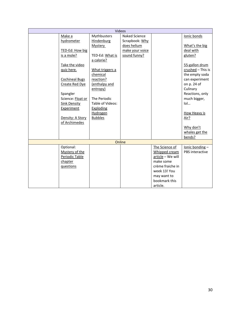| Videos |                       |                  |                      |                   |                   |
|--------|-----------------------|------------------|----------------------|-------------------|-------------------|
|        | Make a                | Mythbusters      | <b>Naked Science</b> |                   | Ionic bonds       |
|        | hydrometer            | Hindenburg       | Scrapbook: Why       |                   |                   |
|        |                       | <b>Mystery</b>   | does helium          |                   | What's the big    |
|        | TED-Ed: How big       |                  | make your voice      |                   | deal with         |
|        | is a mole?            | TED-Ed: What is  | sound funny?         |                   | gluten?           |
|        |                       | a calorie?       |                      |                   |                   |
|        | Take the video        |                  |                      |                   | 55-gallon drum    |
|        | quiz here.            | What triggers a  |                      |                   | crushed - This is |
|        |                       | chemical         |                      |                   | the empty soda    |
|        | <b>Cochineal Bugs</b> | reaction?        |                      |                   | can experiment    |
|        | Create Red Dye        | (enthalpy and    |                      |                   | on p. 24 of       |
|        |                       | entropy)         |                      |                   | Culinary          |
|        | Spangler              |                  |                      |                   | Reactions, only   |
|        | Science: Float or     | The Periodic     |                      |                   | much bigger,      |
|        | <b>Sink Density</b>   | Table of Videos: |                      |                   | $I$ ol            |
|        | Experiment            | Exploding        |                      |                   |                   |
|        |                       | Hydrogen         |                      |                   | How Heavy is      |
|        | Density: A Story      | <b>Bubbles</b>   |                      |                   | Air?              |
|        | of Archimedes         |                  |                      |                   |                   |
|        |                       |                  |                      |                   | Why don't         |
|        |                       |                  |                      |                   | whales get the    |
|        |                       |                  |                      |                   | bends?            |
| Online |                       |                  |                      |                   |                   |
|        | Optional:             |                  |                      | The Science of    | Ionic bonding-    |
|        | Mystery of the        |                  |                      | Whipped cream     | PBS interactive   |
|        | Periodic Table        |                  |                      | article - We will |                   |
|        | chapter               |                  |                      | make some         |                   |
|        | questions             |                  |                      | crème fraiche in  |                   |
|        |                       |                  |                      | week 13! You      |                   |
|        |                       |                  |                      | may want to       |                   |
|        |                       |                  |                      | bookmark this     |                   |
|        |                       |                  |                      | article.          |                   |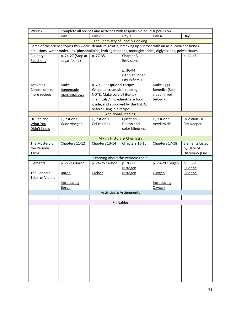| Week 2                                                                                                                                                                                                             | Complete all recipes and activities with responsible adult supervision. |                                                           |                                     |                         |                        |  |
|--------------------------------------------------------------------------------------------------------------------------------------------------------------------------------------------------------------------|-------------------------------------------------------------------------|-----------------------------------------------------------|-------------------------------------|-------------------------|------------------------|--|
|                                                                                                                                                                                                                    | Day 1                                                                   | Day 2                                                     | Day 3                               | Day 4                   | Day 5                  |  |
| The Chemistry of Food & Cooking                                                                                                                                                                                    |                                                                         |                                                           |                                     |                         |                        |  |
| Some of the science topics this week: denature gelatin, breaking up sucrose with an acid, covalent bonds,<br>emulsions, water molecules, phospholipids, hydrogen bonds, monoglycerides, diglycerides, polysorbates |                                                                         |                                                           |                                     |                         |                        |  |
| Culinary                                                                                                                                                                                                           | p. 24-27 (Stop at                                                       | p. 27-35                                                  | Chapter 3                           |                         | p. 44-45               |  |
| Reactions                                                                                                                                                                                                          | sugar foam.)                                                            |                                                           | <b>Emulsions</b>                    |                         |                        |  |
|                                                                                                                                                                                                                    |                                                                         |                                                           |                                     |                         |                        |  |
|                                                                                                                                                                                                                    |                                                                         |                                                           | p. 36-44                            |                         |                        |  |
|                                                                                                                                                                                                                    |                                                                         |                                                           | (Stop at Other                      |                         |                        |  |
|                                                                                                                                                                                                                    |                                                                         |                                                           | Emulsifiers.)                       |                         |                        |  |
| Activities-                                                                                                                                                                                                        | <b>Make</b>                                                             | p. 29 - 35 Optional recipe:                               |                                     | Make Eggs               |                        |  |
| Choose one or                                                                                                                                                                                                      | homemade                                                                | Whipped creamsicle topping<br>NOTE: Make sure all items / |                                     | <b>Benedict (See</b>    |                        |  |
| more recipes.                                                                                                                                                                                                      | marshmallows                                                            | chemicals / ingredients are food                          |                                     | video linked<br>below.) |                        |  |
|                                                                                                                                                                                                                    |                                                                         | grade, and approved by the USDA,                          |                                     |                         |                        |  |
|                                                                                                                                                                                                                    |                                                                         | before using in a recipe!                                 |                                     |                         |                        |  |
|                                                                                                                                                                                                                    |                                                                         |                                                           | <b>Additional Reading</b>           |                         |                        |  |
| Dr. Joe and                                                                                                                                                                                                        | Question $6-$                                                           | Question $7 -$                                            | Question 8 -                        | Question 9 -            | Question 10 -          |  |
| What You                                                                                                                                                                                                           | Wine vinegar                                                            | Gel candles                                               | Dalton and                          | Acrylamide              | Fizz Keeper            |  |
| Didn't Know                                                                                                                                                                                                        |                                                                         |                                                           | color blindness                     |                         |                        |  |
|                                                                                                                                                                                                                    |                                                                         |                                                           |                                     |                         |                        |  |
|                                                                                                                                                                                                                    |                                                                         |                                                           | Mixing History & Chemistry          |                         |                        |  |
| The Mystery of                                                                                                                                                                                                     | Chapters 11-12                                                          | Chapters 13-14                                            | Chapters 15-16                      | Chapters 17-18          | <b>Elements Listed</b> |  |
| the Periodic                                                                                                                                                                                                       |                                                                         |                                                           |                                     |                         | by Date of             |  |
| Table                                                                                                                                                                                                              |                                                                         |                                                           |                                     |                         | Discovery (End!)       |  |
|                                                                                                                                                                                                                    |                                                                         |                                                           | Learning About the Periodic Table   |                         |                        |  |
| Elements                                                                                                                                                                                                           | p. 22-23 Boron                                                          | p. 24-25 Carbon                                           | p. 26-27                            | p. 28-29 Oxygen         | p. 30-31               |  |
|                                                                                                                                                                                                                    |                                                                         |                                                           | Nitrogen                            |                         | <b>Fluorine</b>        |  |
| The Periodic<br>Table of Videos                                                                                                                                                                                    | <b>Boron</b>                                                            | Carbon                                                    | <b>Nitrogen</b>                     | Oxygen                  | <b>Fluorine</b>        |  |
|                                                                                                                                                                                                                    | Introducing                                                             |                                                           |                                     | Introducing             |                        |  |
|                                                                                                                                                                                                                    | <b>Boron</b>                                                            |                                                           |                                     | Oxygen                  |                        |  |
|                                                                                                                                                                                                                    |                                                                         |                                                           | <b>Activities &amp; Assignments</b> |                         |                        |  |
|                                                                                                                                                                                                                    |                                                                         |                                                           |                                     |                         |                        |  |
|                                                                                                                                                                                                                    |                                                                         |                                                           | Printables                          |                         |                        |  |
|                                                                                                                                                                                                                    |                                                                         |                                                           |                                     |                         |                        |  |
|                                                                                                                                                                                                                    |                                                                         |                                                           |                                     |                         |                        |  |
|                                                                                                                                                                                                                    |                                                                         |                                                           |                                     |                         |                        |  |
|                                                                                                                                                                                                                    |                                                                         |                                                           |                                     |                         |                        |  |
|                                                                                                                                                                                                                    |                                                                         |                                                           |                                     |                         |                        |  |
|                                                                                                                                                                                                                    |                                                                         |                                                           |                                     |                         |                        |  |
|                                                                                                                                                                                                                    |                                                                         |                                                           |                                     |                         |                        |  |
|                                                                                                                                                                                                                    |                                                                         |                                                           |                                     |                         |                        |  |
|                                                                                                                                                                                                                    |                                                                         |                                                           |                                     |                         |                        |  |
|                                                                                                                                                                                                                    |                                                                         |                                                           |                                     |                         |                        |  |
|                                                                                                                                                                                                                    |                                                                         |                                                           |                                     |                         |                        |  |
|                                                                                                                                                                                                                    |                                                                         |                                                           |                                     |                         |                        |  |
|                                                                                                                                                                                                                    |                                                                         |                                                           |                                     |                         |                        |  |
|                                                                                                                                                                                                                    |                                                                         |                                                           |                                     |                         |                        |  |
|                                                                                                                                                                                                                    |                                                                         |                                                           |                                     |                         |                        |  |